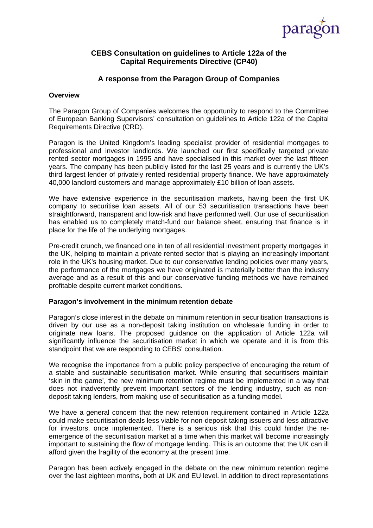

# **CEBS Consultation on guidelines to Article 122a of the Capital Requirements Directive (CP40)**

# **A response from the Paragon Group of Companies**

#### **Overview**

The Paragon Group of Companies welcomes the opportunity to respond to the Committee of European Banking Supervisors' consultation on guidelines to Article 122a of the Capital Requirements Directive (CRD).

Paragon is the United Kingdom's leading specialist provider of residential mortgages to professional and investor landlords. We launched our first specifically targeted private rented sector mortgages in 1995 and have specialised in this market over the last fifteen years. The company has been publicly listed for the last 25 years and is currently the UK's third largest lender of privately rented residential property finance. We have approximately 40,000 landlord customers and manage approximately £10 billion of loan assets.

We have extensive experience in the securitisation markets, having been the first UK company to securitise loan assets. All of our 53 securitisation transactions have been straightforward, transparent and low-risk and have performed well. Our use of securitisation has enabled us to completely match-fund our balance sheet, ensuring that finance is in place for the life of the underlying mortgages.

Pre-credit crunch, we financed one in ten of all residential investment property mortgages in the UK, helping to maintain a private rented sector that is playing an increasingly important role in the UK's housing market. Due to our conservative lending policies over many years, the performance of the mortgages we have originated is materially better than the industry average and as a result of this and our conservative funding methods we have remained profitable despite current market conditions.

#### **Paragon's involvement in the minimum retention debate**

Paragon's close interest in the debate on minimum retention in securitisation transactions is driven by our use as a non-deposit taking institution on wholesale funding in order to originate new loans. The proposed guidance on the application of Article 122a will significantly influence the securitisation market in which we operate and it is from this standpoint that we are responding to CEBS' consultation.

We recognise the importance from a public policy perspective of encouraging the return of a stable and sustainable securitisation market. While ensuring that securitisers maintain 'skin in the game', the new minimum retention regime must be implemented in a way that does not inadvertently prevent important sectors of the lending industry, such as nondeposit taking lenders, from making use of securitisation as a funding model.

We have a general concern that the new retention requirement contained in Article 122a could make securitisation deals less viable for non-deposit taking issuers and less attractive for investors, once implemented. There is a serious risk that this could hinder the reemergence of the securitisation market at a time when this market will become increasingly important to sustaining the flow of mortgage lending. This is an outcome that the UK can ill afford given the fragility of the economy at the present time.

Paragon has been actively engaged in the debate on the new minimum retention regime over the last eighteen months, both at UK and EU level. In addition to direct representations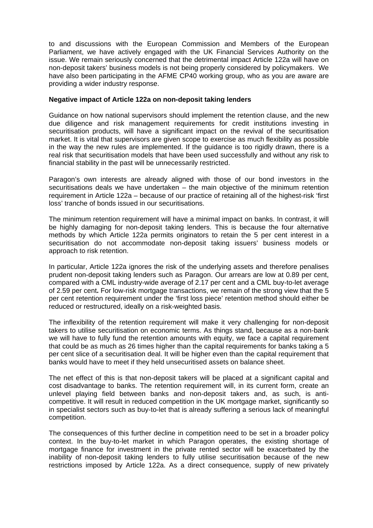to and discussions with the European Commission and Members of the European Parliament, we have actively engaged with the UK Financial Services Authority on the issue. We remain seriously concerned that the detrimental impact Article 122a will have on non-deposit takers' business models is not being properly considered by policymakers. We have also been participating in the AFME CP40 working group, who as you are aware are providing a wider industry response.

### **Negative impact of Article 122a on non-deposit taking lenders**

Guidance on how national supervisors should implement the retention clause, and the new due diligence and risk management requirements for credit institutions investing in securitisation products, will have a significant impact on the revival of the securitisation market. It is vital that supervisors are given scope to exercise as much flexibility as possible in the way the new rules are implemented. If the guidance is too rigidly drawn, there is a real risk that securitisation models that have been used successfully and without any risk to financial stability in the past will be unnecessarily restricted.

Paragon's own interests are already aligned with those of our bond investors in the securitisations deals we have undertaken – the main objective of the minimum retention requirement in Article 122a – because of our practice of retaining all of the highest-risk 'first loss' tranche of bonds issued in our securitisations.

The minimum retention requirement will have a minimal impact on banks. In contrast, it will be highly damaging for non-deposit taking lenders. This is because the four alternative methods by which Article 122a permits originators to retain the 5 per cent interest in a securitisation do not accommodate non-deposit taking issuers' business models or approach to risk retention.

In particular, Article 122a ignores the risk of the underlying assets and therefore penalises prudent non-deposit taking lenders such as Paragon. Our arrears are low at 0.89 per cent, compared with a CML industry-wide average of 2.17 per cent and a CML buy-to-let average of 2.59 per cent**.** For low-risk mortgage transactions, we remain of the strong view that the 5 per cent retention requirement under the 'first loss piece' retention method should either be reduced or restructured, ideally on a risk-weighted basis.

The inflexibility of the retention requirement will make it very challenging for non-deposit takers to utilise securitisation on economic terms. As things stand, because as a non-bank we will have to fully fund the retention amounts with equity, we face a capital requirement that could be as much as 26 times higher than the capital requirements for banks taking a 5 per cent slice of a securitisation deal. It will be higher even than the capital requirement that banks would have to meet if they held unsecuritised assets on balance sheet.

The net effect of this is that non-deposit takers will be placed at a significant capital and cost disadvantage to banks. The retention requirement will, in its current form, create an unlevel playing field between banks and non-deposit takers and, as such, is anticompetitive. It will result in reduced competition in the UK mortgage market, significantly so in specialist sectors such as buy-to-let that is already suffering a serious lack of meaningful competition.

The consequences of this further decline in competition need to be set in a broader policy context. In the buy-to-let market in which Paragon operates, the existing shortage of mortgage finance for investment in the private rented sector will be exacerbated by the inability of non-deposit taking lenders to fully utilise securitisation because of the new restrictions imposed by Article 122a. As a direct consequence, supply of new privately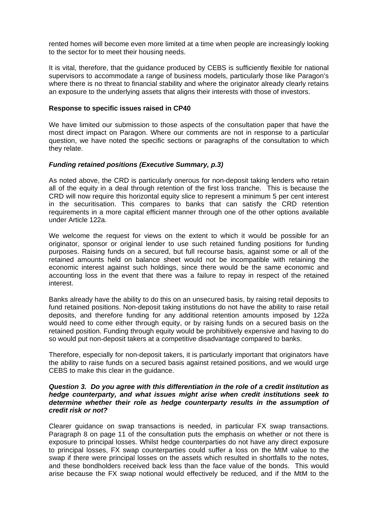rented homes will become even more limited at a time when people are increasingly looking to the sector for to meet their housing needs.

It is vital, therefore, that the guidance produced by CEBS is sufficiently flexible for national supervisors to accommodate a range of business models, particularly those like Paragon's where there is no threat to financial stability and where the originator already clearly retains an exposure to the underlying assets that aligns their interests with those of investors.

#### **Response to specific issues raised in CP40**

We have limited our submission to those aspects of the consultation paper that have the most direct impact on Paragon. Where our comments are not in response to a particular question, we have noted the specific sections or paragraphs of the consultation to which they relate.

#### *Funding retained positions (Executive Summary, p.3)*

As noted above, the CRD is particularly onerous for non-deposit taking lenders who retain all of the equity in a deal through retention of the first loss tranche. This is because the CRD will now require this horizontal equity slice to represent a minimum 5 per cent interest in the securitisation. This compares to banks that can satisfy the CRD retention requirements in a more capital efficient manner through one of the other options available under Article 122a.

We welcome the request for views on the extent to which it would be possible for an originator, sponsor or original lender to use such retained funding positions for funding purposes. Raising funds on a secured, but full recourse basis, against some or all of the retained amounts held on balance sheet would not be incompatible with retaining the economic interest against such holdings, since there would be the same economic and accounting loss in the event that there was a failure to repay in respect of the retained interest.

Banks already have the ability to do this on an unsecured basis, by raising retail deposits to fund retained positions. Non-deposit taking institutions do not have the ability to raise retail deposits, and therefore funding for any additional retention amounts imposed by 122a would need to come either through equity, or by raising funds on a secured basis on the retained position. Funding through equity would be prohibitively expensive and having to do so would put non-deposit takers at a competitive disadvantage compared to banks.

Therefore, especially for non-deposit takers, it is particularly important that originators have the ability to raise funds on a secured basis against retained positions, and we would urge CEBS to make this clear in the guidance.

#### *Question 3. Do you agree with this differentiation in the role of a credit institution as hedge counterparty, and what issues might arise when credit institutions seek to determine whether their role as hedge counterparty results in the assumption of credit risk or not?*

Clearer guidance on swap transactions is needed, in particular FX swap transactions. Paragraph 8 on page 11 of the consultation puts the emphasis on whether or not there is exposure to principal losses. Whilst hedge counterparties do not have any direct exposure to principal losses, FX swap counterparties could suffer a loss on the MtM value to the swap if there were principal losses on the assets which resulted in shortfalls to the notes, and these bondholders received back less than the face value of the bonds. This would arise because the FX swap notional would effectively be reduced, and if the MtM to the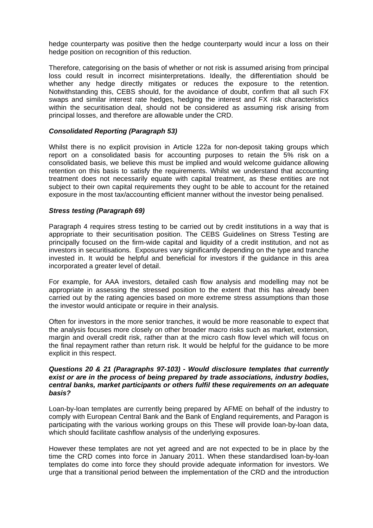hedge counterparty was positive then the hedge counterparty would incur a loss on their hedge position on recognition of this reduction.

Therefore, categorising on the basis of whether or not risk is assumed arising from principal loss could result in incorrect misinterpretations. Ideally, the differentiation should be whether any hedge directly mitigates or reduces the exposure to the retention. Notwithstanding this, CEBS should, for the avoidance of doubt, confirm that all such FX swaps and similar interest rate hedges, hedging the interest and FX risk characteristics within the securitisation deal, should not be considered as assuming risk arising from principal losses, and therefore are allowable under the CRD.

#### *Consolidated Reporting (Paragraph 53)*

Whilst there is no explicit provision in Article 122a for non-deposit taking groups which report on a consolidated basis for accounting purposes to retain the 5% risk on a consolidated basis, we believe this must be implied and would welcome guidance allowing retention on this basis to satisfy the requirements. Whilst we understand that accounting treatment does not necessarily equate with capital treatment, as these entities are not subject to their own capital requirements they ought to be able to account for the retained exposure in the most tax/accounting efficient manner without the investor being penalised.

#### *Stress testing (Paragraph 69)*

Paragraph 4 requires stress testing to be carried out by credit institutions in a way that is appropriate to their securitisation position. The CEBS Guidelines on Stress Testing are principally focused on the firm-wide capital and liquidity of a credit institution, and not as investors in securitisations. Exposures vary significantly depending on the type and tranche invested in. It would be helpful and beneficial for investors if the guidance in this area incorporated a greater level of detail.

For example, for AAA investors, detailed cash flow analysis and modelling may not be appropriate in assessing the stressed position to the extent that this has already been carried out by the rating agencies based on more extreme stress assumptions than those the investor would anticipate or require in their analysis.

Often for investors in the more senior tranches, it would be more reasonable to expect that the analysis focuses more closely on other broader macro risks such as market, extension, margin and overall credit risk, rather than at the micro cash flow level which will focus on the final repayment rather than return risk. It would be helpful for the guidance to be more explicit in this respect.

### *Questions 20 & 21 (Paragraphs 97-103) - Would disclosure templates that currently exist or are in the process of being prepared by trade associations, industry bodies, central banks, market participants or others fulfil these requirements on an adequate basis?*

Loan-by-loan templates are currently being prepared by AFME on behalf of the industry to comply with European Central Bank and the Bank of England requirements, and Paragon is participating with the various working groups on this These will provide loan-by-loan data, which should facilitate cashflow analysis of the underlying exposures.

However these templates are not yet agreed and are not expected to be in place by the time the CRD comes into force in January 2011. When these standardised loan-by-loan templates do come into force they should provide adequate information for investors. We urge that a transitional period between the implementation of the CRD and the introduction